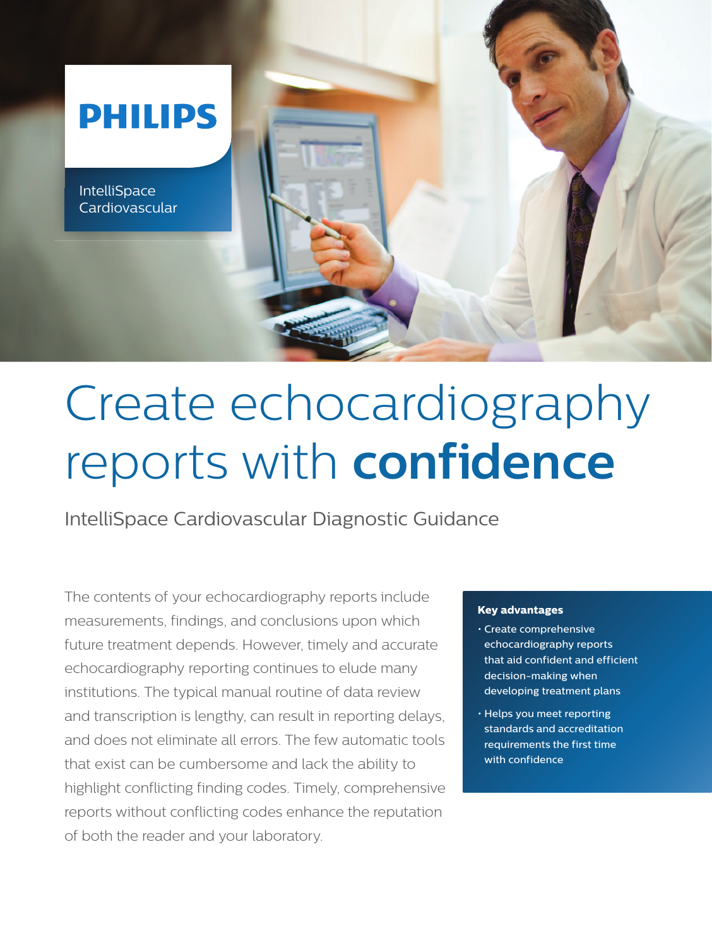

# Create echocardiography reports with **confidence**

IntelliSpace Cardiovascular Diagnostic Guidance

The contents of your echocardiography reports include measurements, findings, and conclusions upon which future treatment depends. However, timely and accurate echocardiography reporting continues to elude many institutions. The typical manual routine of data review and transcription is lengthy, can result in reporting delays, and does not eliminate all errors. The few automatic tools that exist can be cumbersome and lack the ability to highlight conflicting finding codes. Timely, comprehensive reports without conflicting codes enhance the reputation of both the reader and your laboratory.

### **Key advantages**

- Create comprehensive echocardiography reports that aid confident and efficient decision-making when developing treatment plans
- Helps you meet reporting standards and accreditation requirements the first time with confidence